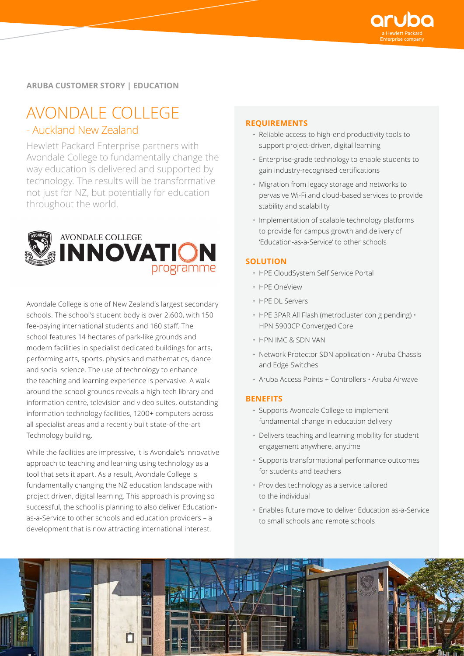

# **ARUBA CUSTOMER STORY | EDUCATION**

# AVONDALE COLLEGE

# - Auckland New Zealand

Hewlett Packard Enterprise partners with Avondale College to fundamentally change the way education is delivered and supported by technology. The results will be transformative not just for NZ, but potentially for education throughout the world.



Avondale College is one of New Zealand's largest secondary schools. The school's student body is over 2,600, with 150 fee-paying international students and 160 staff. The school features 14 hectares of park-like grounds and modern facilities in specialist dedicated buildings for arts, performing arts, sports, physics and mathematics, dance and social science. The use of technology to enhance the teaching and learning experience is pervasive. A walk around the school grounds reveals a high-tech library and information centre, television and video suites, outstanding information technology facilities, 1200+ computers across all specialist areas and a recently built state-of-the-art Technology building.

While the facilities are impressive, it is Avondale's innovative approach to teaching and learning using technology as a tool that sets it apart. As a result, Avondale College is fundamentally changing the NZ education landscape with project driven, digital learning. This approach is proving so successful, the school is planning to also deliver Educationas-a-Service to other schools and education providers – a development that is now attracting international interest.

#### **REQUIREMENTS**

- Reliable access to high-end productivity tools to support project-driven, digital learning
- Enterprise-grade technology to enable students to gain industry-recognised certifications
- Migration from legacy storage and networks to pervasive Wi-Fi and cloud-based services to provide stability and scalability
- Implementation of scalable technology platforms to provide for campus growth and delivery of 'Education-as-a-Service' to other schools

#### **SOLUTION**

- HPE CloudSystem Self Service Portal
- HPE OneView
- HPE DL Servers
- HPE 3PAR All Flash (metrocluster con g pending) HPN 5900CP Converged Core
- HPN IMC & SDN VAN
- Network Protector SDN application Aruba Chassis and Edge Switches
- Aruba Access Points + Controllers Aruba Airwave

#### **BENEFITS**

- Supports Avondale College to implement fundamental change in education delivery
- Delivers teaching and learning mobility for student engagement anywhere, anytime
- Supports transformational performance outcomes for students and teachers
- Provides technology as a service tailored to the individual
- Enables future move to deliver Education as-a-Service to small schools and remote schools

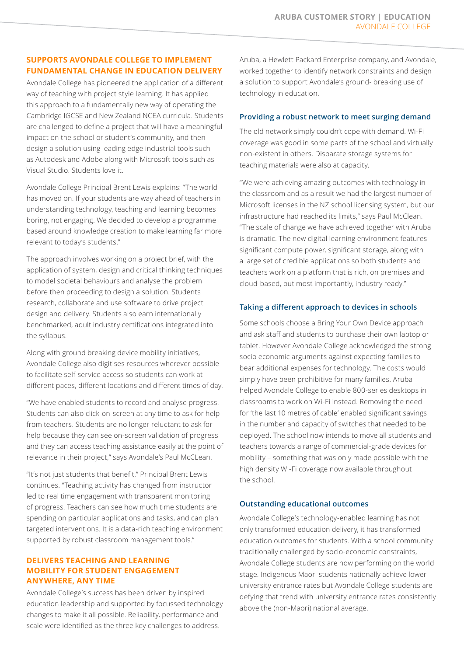# **SUPPORTS AVONDALE COLLEGE TO IMPLEMENT FUNDAMENTAL CHANGE IN EDUCATION DELIVERY**

Avondale College has pioneered the application of a different way of teaching with project style learning. It has applied this approach to a fundamentally new way of operating the Cambridge IGCSE and New Zealand NCEA curricula. Students are challenged to define a project that will have a meaningful impact on the school or student's community, and then design a solution using leading edge industrial tools such as Autodesk and Adobe along with Microsoft tools such as Visual Studio. Students love it.

Avondale College Principal Brent Lewis explains: "The world has moved on. If your students are way ahead of teachers in understanding technology, teaching and learning becomes boring, not engaging. We decided to develop a programme based around knowledge creation to make learning far more relevant to today's students."

The approach involves working on a project brief, with the application of system, design and critical thinking techniques to model societal behaviours and analyse the problem before then proceeding to design a solution. Students research, collaborate and use software to drive project design and delivery. Students also earn internationally benchmarked, adult industry certifications integrated into the syllabus.

Along with ground breaking device mobility initiatives, Avondale College also digitises resources wherever possible to facilitate self-service access so students can work at different paces, different locations and different times of day.

"We have enabled students to record and analyse progress. Students can also click-on-screen at any time to ask for help from teachers. Students are no longer reluctant to ask for help because they can see on-screen validation of progress and they can access teaching assistance easily at the point of relevance in their project," says Avondale's Paul McCLean.

"It's not just students that benefit," Principal Brent Lewis continues. "Teaching activity has changed from instructor led to real time engagement with transparent monitoring of progress. Teachers can see how much time students are spending on particular applications and tasks, and can plan targeted interventions. It is a data-rich teaching environment supported by robust classroom management tools."

## **DELIVERS TEACHING AND LEARNING MOBILITY FOR STUDENT ENGAGEMENT ANYWHERE, ANY TIME**

Avondale College's success has been driven by inspired education leadership and supported by focussed technology changes to make it all possible. Reliability, performance and scale were identified as the three key challenges to address.

Aruba, a Hewlett Packard Enterprise company, and Avondale, worked together to identify network constraints and design a solution to support Avondale's ground- breaking use of technology in education.

## **Providing a robust network to meet surging demand**

The old network simply couldn't cope with demand. Wi-Fi coverage was good in some parts of the school and virtually non-existent in others. Disparate storage systems for teaching materials were also at capacity.

"We were achieving amazing outcomes with technology in the classroom and as a result we had the largest number of Microsoft licenses in the NZ school licensing system, but our infrastructure had reached its limits," says Paul McClean. "The scale of change we have achieved together with Aruba is dramatic. The new digital learning environment features significant compute power, significant storage, along with a large set of credible applications so both students and teachers work on a platform that is rich, on premises and cloud-based, but most importantly, industry ready."

## **Taking a different approach to devices in schools**

Some schools choose a Bring Your Own Device approach and ask staff and students to purchase their own laptop or tablet. However Avondale College acknowledged the strong socio economic arguments against expecting families to bear additional expenses for technology. The costs would simply have been prohibitive for many families. Aruba helped Avondale College to enable 800-series desktops in classrooms to work on Wi-Fi instead. Removing the need for 'the last 10 metres of cable' enabled significant savings in the number and capacity of switches that needed to be deployed. The school now intends to move all students and teachers towards a range of commercial-grade devices for mobility – something that was only made possible with the high density Wi-Fi coverage now available throughout the school.

#### **Outstanding educational outcomes**

Avondale College's technology-enabled learning has not only transformed education delivery, it has transformed education outcomes for students. With a school community traditionally challenged by socio-economic constraints, Avondale College students are now performing on the world stage. Indigenous Maori students nationally achieve lower university entrance rates but Avondale College students are defying that trend with university entrance rates consistently above the (non-Maori) national average.